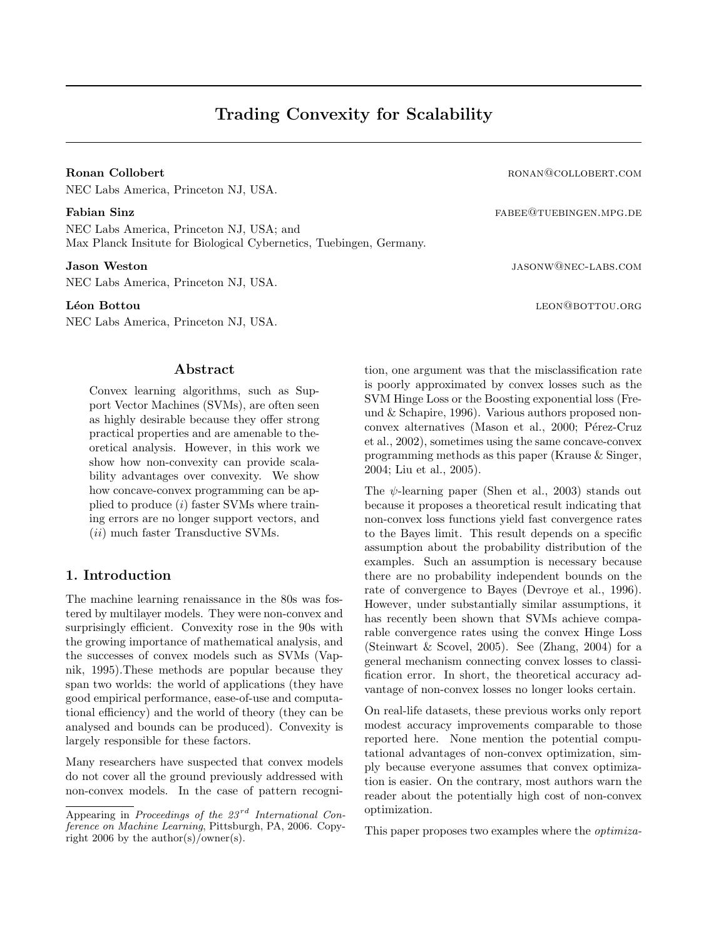NEC Labs America, Princeton NJ, USA.

NEC Labs America, Princeton NJ, USA; and Max Planck Insitute for Biological Cybernetics, Tuebingen, Germany.

NEC Labs America, Princeton NJ, USA.

NEC Labs America, Princeton NJ, USA.

### Abstract

Convex learning algorithms, such as Support Vector Machines (SVMs), are often seen as highly desirable because they offer strong practical properties and are amenable to theoretical analysis. However, in this work we show how non-convexity can provide scalability advantages over convexity. We show how concave-convex programming can be applied to produce (i) faster SVMs where training errors are no longer support vectors, and (ii) much faster Transductive SVMs.

## 1. Introduction

The machine learning renaissance in the 80s was fostered by multilayer models. They were non-convex and surprisingly efficient. Convexity rose in the 90s with the growing importance of mathematical analysis, and the successes of convex models such as SVMs (Vapnik, 1995).These methods are popular because they span two worlds: the world of applications (they have good empirical performance, ease-of-use and computational efficiency) and the world of theory (they can be analysed and bounds can be produced). Convexity is largely responsible for these factors.

Many researchers have suspected that convex models do not cover all the ground previously addressed with non-convex models. In the case of pattern recogni-

Ronan Collobert **Ronan Collobert roughly** roughly roughly roughly resonance  $R$  on  $R$  on  $R$  on  $R$  on  $R$  on  $R$  on  $R$  on  $R$  on  $R$  on  $R$  on  $R$  on  $R$  on  $R$  on  $R$  on  $R$  on  $R$  on  $R$  on  $R$  on  $R$  on  $R$  on  $R$ 

Fabian Sinz fabet and the set of the set of the set of the set of the set of the set of the set of the set of the set of the set of the set of the set of the set of the set of the set of the set of the set of the set of th

**Jason Weston jason weston jason weston** jason weston jason weston jason weston jason weston jason west variable v

Léon Bottou les de la concerne de la conflitte de la conflitte de la conflitte de la conflitte de la conflitte

tion, one argument was that the misclassification rate is poorly approximated by convex losses such as the SVM Hinge Loss or the Boosting exponential loss (Freund & Schapire, 1996). Various authors proposed nonconvex alternatives (Mason et al., 2000; Pérez-Cruz et al., 2002), sometimes using the same concave-convex programming methods as this paper (Krause & Singer, 2004; Liu et al., 2005).

The  $\psi$ -learning paper (Shen et al., 2003) stands out because it proposes a theoretical result indicating that non-convex loss functions yield fast convergence rates to the Bayes limit. This result depends on a specific assumption about the probability distribution of the examples. Such an assumption is necessary because there are no probability independent bounds on the rate of convergence to Bayes (Devroye et al., 1996). However, under substantially similar assumptions, it has recently been shown that SVMs achieve comparable convergence rates using the convex Hinge Loss (Steinwart & Scovel, 2005). See  $(Zhang, 2004)$  for a general mechanism connecting convex losses to classification error. In short, the theoretical accuracy advantage of non-convex losses no longer looks certain.

On real-life datasets, these previous works only report modest accuracy improvements comparable to those reported here. None mention the potential computational advantages of non-convex optimization, simply because everyone assumes that convex optimization is easier. On the contrary, most authors warn the reader about the potentially high cost of non-convex optimization.

This paper proposes two examples where the optimiza-

Appearing in Proceedings of the  $23^{rd}$  International Conference on Machine Learning, Pittsburgh, PA, 2006. Copyright 2006 by the author(s)/owner(s).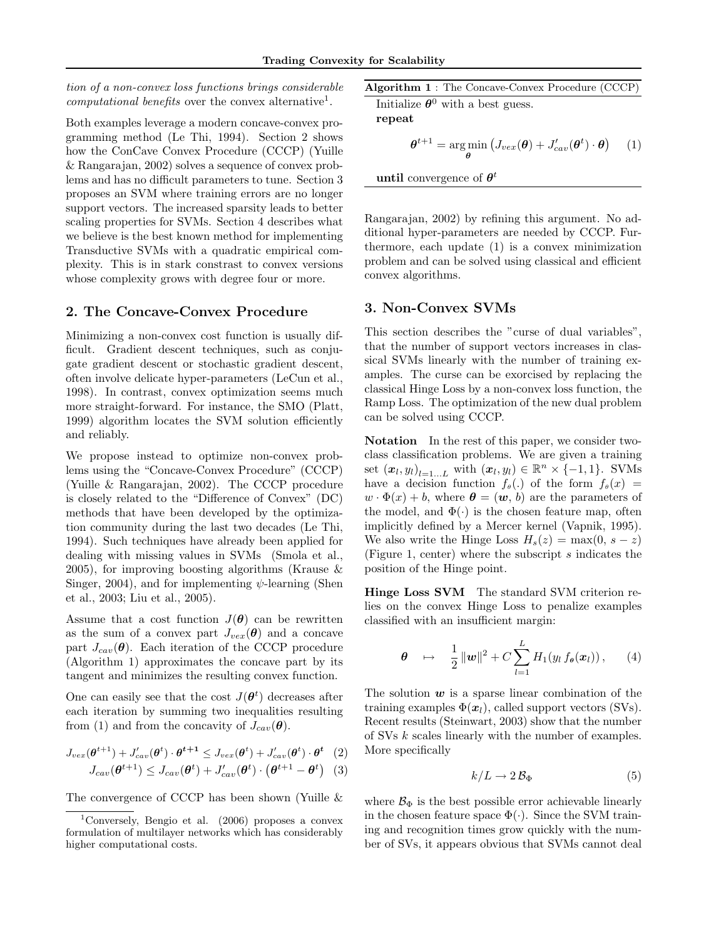tion of a non-convex loss functions brings considerable computational benefits over the convex alternative<sup>1</sup>.

Both examples leverage a modern concave-convex programming method (Le Thi, 1994). Section 2 shows how the ConCave Convex Procedure (CCCP) (Yuille & Rangarajan, 2002) solves a sequence of convex problems and has no difficult parameters to tune. Section 3 proposes an SVM where training errors are no longer support vectors. The increased sparsity leads to better scaling properties for SVMs. Section 4 describes what we believe is the best known method for implementing Transductive SVMs with a quadratic empirical complexity. This is in stark constrast to convex versions whose complexity grows with degree four or more.

### 2. The Concave-Convex Procedure

Minimizing a non-convex cost function is usually difficult. Gradient descent techniques, such as conjugate gradient descent or stochastic gradient descent, often involve delicate hyper-parameters (LeCun et al., 1998). In contrast, convex optimization seems much more straight-forward. For instance, the SMO (Platt, 1999) algorithm locates the SVM solution efficiently and reliably.

We propose instead to optimize non-convex problems using the "Concave-Convex Procedure" (CCCP) (Yuille & Rangarajan, 2002). The CCCP procedure is closely related to the "Difference of Convex" (DC) methods that have been developed by the optimization community during the last two decades (Le Thi, 1994). Such techniques have already been applied for dealing with missing values in SVMs (Smola et al., 2005), for improving boosting algorithms (Krause & Singer, 2004), and for implementing  $\psi$ -learning (Shen et al., 2003; Liu et al., 2005).

Assume that a cost function  $J(\theta)$  can be rewritten as the sum of a convex part  $J_{vex}(\theta)$  and a concave part  $J_{cav}(\theta)$ . Each iteration of the CCCP procedure (Algorithm 1) approximates the concave part by its tangent and minimizes the resulting convex function.

One can easily see that the cost  $J(\boldsymbol{\theta}^t)$  decreases after each iteration by summing two inequalities resulting from (1) and from the concavity of  $J_{cav}(\theta)$ .

$$
J_{vex}(\boldsymbol{\theta}^{t+1}) + J'_{cav}(\boldsymbol{\theta}^t) \cdot \boldsymbol{\theta}^{t+1} \leq J_{vex}(\boldsymbol{\theta}^t) + J'_{cav}(\boldsymbol{\theta}^t) \cdot \boldsymbol{\theta}^t \quad (2)
$$

$$
J_{cav}(\boldsymbol{\theta}^{t+1}) \leq J_{cav}(\boldsymbol{\theta}^t) + J'_{cav}(\boldsymbol{\theta}^t) \cdot (\boldsymbol{\theta}^{t+1} - \boldsymbol{\theta}^t) \tag{3}
$$

The convergence of CCCP has been shown (Yuille &

Algorithm 1 : The Concave-Convex Procedure (CCCP)

Initialize  $\theta^0$  with a best guess. repeat

$$
\boldsymbol{\theta}^{t+1} = \arg\min_{\boldsymbol{\theta}} \left( J_{vex}(\boldsymbol{\theta}) + J_{cav}'(\boldsymbol{\theta}^t) \cdot \boldsymbol{\theta} \right) \quad (1)
$$

until convergence of  $\theta^t$ 

Rangarajan, 2002) by refining this argument. No additional hyper-parameters are needed by CCCP. Furthermore, each update (1) is a convex minimization problem and can be solved using classical and efficient convex algorithms.

# 3. Non-Convex SVMs

This section describes the "curse of dual variables", that the number of support vectors increases in classical SVMs linearly with the number of training examples. The curse can be exorcised by replacing the classical Hinge Loss by a non-convex loss function, the Ramp Loss. The optimization of the new dual problem can be solved using CCCP.

Notation In the rest of this paper, we consider twoclass classification problems. We are given a training set  $(\boldsymbol{x}_l, y_l)_{l=1...L}$  with  $(\boldsymbol{x}_l, y_l) \in \mathbb{R}^n \times \{-1, 1\}$ . SVMs have a decision function  $f_{\theta}(.)$  of the form  $f_{\theta}(x)$  =  $w \cdot \Phi(x) + b$ , where  $\theta = (w, b)$  are the parameters of the model, and  $\Phi(\cdot)$  is the chosen feature map, often implicitly defined by a Mercer kernel (Vapnik, 1995). We also write the Hinge Loss  $H_s(z) = \max(0, s - z)$ (Figure 1, center) where the subscript s indicates the position of the Hinge point.

Hinge Loss SVM The standard SVM criterion relies on the convex Hinge Loss to penalize examples classified with an insufficient margin:

$$
\boldsymbol{\theta} \quad \mapsto \quad \frac{1}{2} \, \|\boldsymbol{w}\|^2 + C \sum_{l=1}^L H_1(y_l \, f_{\boldsymbol{\theta}}(\boldsymbol{x}_l)) \,, \qquad (4)
$$

The solution  $w$  is a sparse linear combination of the training examples  $\Phi(\mathbf{x}_l)$ , called support vectors (SVs). Recent results (Steinwart, 2003) show that the number of SVs k scales linearly with the number of examples. More specifically

$$
k/L \to 2\,\mathcal{B}_{\Phi} \tag{5}
$$

where  $\mathcal{B}_{\Phi}$  is the best possible error achievable linearly in the chosen feature space  $\Phi(\cdot)$ . Since the SVM training and recognition times grow quickly with the number of SVs, it appears obvious that SVMs cannot deal

<sup>&</sup>lt;sup>1</sup>Conversely, Bengio et al.  $(2006)$  proposes a convex formulation of multilayer networks which has considerably higher computational costs.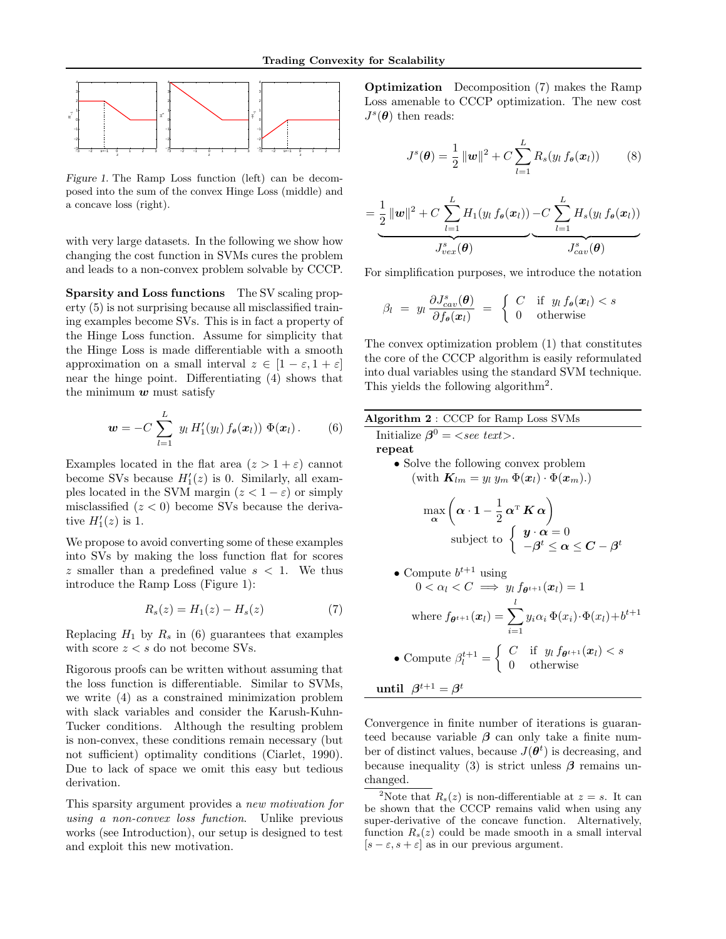

Figure 1. The Ramp Loss function (left) can be decomposed into the sum of the convex Hinge Loss (middle) and a concave loss (right).

with very large datasets. In the following we show how changing the cost function in SVMs cures the problem and leads to a non-convex problem solvable by CCCP.

Sparsity and Loss functions The SV scaling property (5) is not surprising because all misclassified training examples become SVs. This is in fact a property of the Hinge Loss function. Assume for simplicity that the Hinge Loss is made differentiable with a smooth approximation on a small interval  $z \in [1 - \varepsilon, 1 + \varepsilon]$ near the hinge point. Differentiating (4) shows that the minimum  $w$  must satisfy

$$
\mathbf{w} = -C \sum_{l=1}^{L} y_l H_1'(y_l) f_{\boldsymbol{\theta}}(\boldsymbol{x}_l)) \Phi(\boldsymbol{x}_l).
$$
 (6)

Examples located in the flat area  $(z > 1 + \varepsilon)$  cannot become SVs because  $H_1'(z)$  is 0. Similarly, all examples located in the SVM margin  $(z < 1 - \varepsilon)$  or simply misclassified  $(z < 0)$  become SVs because the derivative  $H_1'(z)$  is 1.

We propose to avoid converting some of these examples into SVs by making the loss function flat for scores z smaller than a predefined value  $s < 1$ . We thus introduce the Ramp Loss (Figure 1):

$$
R_s(z) = H_1(z) - H_s(z)
$$
 (7)

Replacing  $H_1$  by  $R_s$  in (6) guarantees that examples with score  $z < s$  do not become SVs.

Rigorous proofs can be written without assuming that the loss function is differentiable. Similar to SVMs, we write (4) as a constrained minimization problem with slack variables and consider the Karush-Kuhn-Tucker conditions. Although the resulting problem is non-convex, these conditions remain necessary (but not sufficient) optimality conditions (Ciarlet, 1990). Due to lack of space we omit this easy but tedious derivation.

This sparsity argument provides a new motivation for using a non-convex loss function. Unlike previous works (see Introduction), our setup is designed to test and exploit this new motivation.

Optimization Decomposition (7) makes the Ramp Loss amenable to CCCP optimization. The new cost  $J^s(\theta)$  then reads:

$$
J^{s}(\boldsymbol{\theta}) = \frac{1}{2} ||\boldsymbol{w}||^{2} + C \sum_{l=1}^{L} R_{s}(y_{l} f_{\boldsymbol{\theta}}(\boldsymbol{x}_{l}))
$$
 (8)

$$
=\frac{1}{2}||w||^2 + C \sum_{l=1}^{L} H_1(y_l f_{\theta}(\boldsymbol{x}_l)) - C \sum_{l=1}^{L} H_s(y_l f_{\theta}(\boldsymbol{x}_l))
$$

$$
J_{vex}^s(\boldsymbol{\theta})
$$
  $J_{cav}^s(\boldsymbol{\theta})$ 

For simplification purposes, we introduce the notation

$$
\beta_l = y_l \frac{\partial J_{cav}^s(\boldsymbol{\theta})}{\partial f_{\boldsymbol{\theta}}(\boldsymbol{x}_l)} = \begin{cases} C & \text{if } y_l f_{\boldsymbol{\theta}}(\boldsymbol{x}_l) < s \\ 0 & \text{otherwise} \end{cases}
$$

The convex optimization problem (1) that constitutes the core of the CCCP algorithm is easily reformulated into dual variables using the standard SVM technique. This yields the following algorithm<sup>2</sup>.



\n- Compute 
$$
b^{t+1}
$$
 using  $0 < \alpha_l < C \implies y_l f_{\theta^{t+1}}(x_l) = 1$ , where  $f_{\theta^{t+1}}(x_l) = \sum_{i=1}^l y_i \alpha_i \Phi(x_i) \cdot \Phi(x_l) + b^{t+1}$ .
\n- Compute  $\beta_l^{t+1} = \begin{cases} C & \text{if } y_l f_{\theta^{t+1}}(x_l) < s \\ 0 & \text{otherwise} \end{cases}$ .
\n

$$
\textbf{until} \;\; \beta^{t+1} = \beta^t
$$

Convergence in finite number of iterations is guaranteed because variable  $\beta$  can only take a finite number of distinct values, because  $J(\boldsymbol{\theta}^t)$  is decreasing, and because inequality (3) is strict unless  $\beta$  remains unchanged.

<sup>&</sup>lt;sup>2</sup>Note that  $R_s(z)$  is non-differentiable at  $z = s$ . It can be shown that the CCCP remains valid when using any super-derivative of the concave function. Alternatively, function  $R_s(z)$  could be made smooth in a small interval  $[s - \varepsilon, s + \varepsilon]$  as in our previous argument.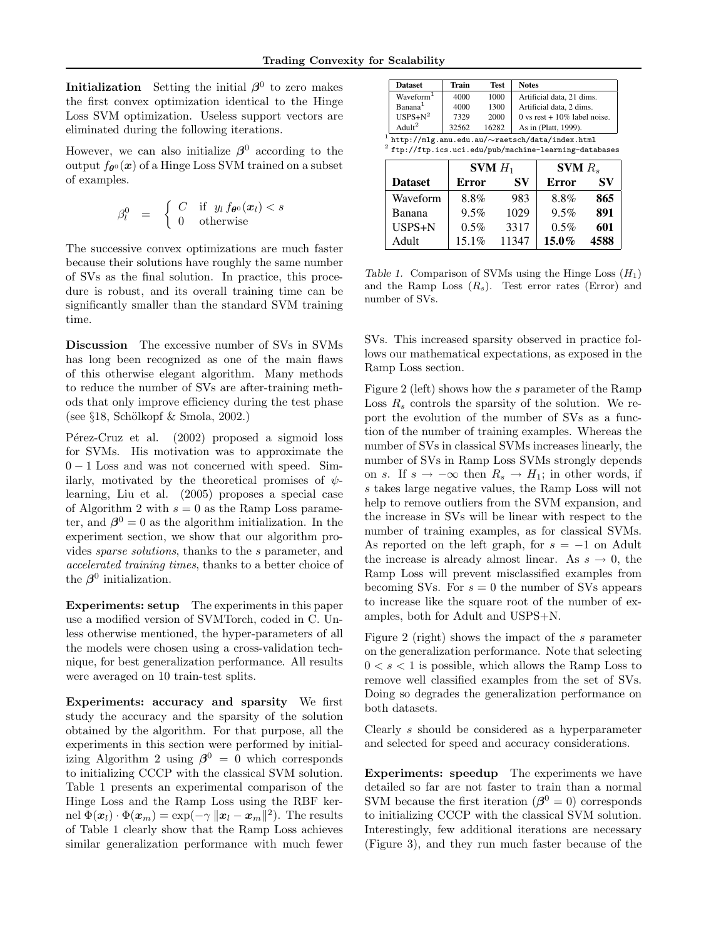**Initialization** Setting the initial  $\beta^0$  to zero makes the first convex optimization identical to the Hinge Loss SVM optimization. Useless support vectors are eliminated during the following iterations.

However, we can also initialize  $\beta^0$  according to the output  $f_{\theta}(\mathbf{x})$  of a Hinge Loss SVM trained on a subset of examples.

$$
\beta_l^0 = \begin{cases} C & \text{if } y_l f_{\theta^0}(\boldsymbol{x}_l) < s \\ 0 & \text{otherwise} \end{cases}
$$

The successive convex optimizations are much faster because their solutions have roughly the same number of SVs as the final solution. In practice, this procedure is robust, and its overall training time can be significantly smaller than the standard SVM training time.

Discussion The excessive number of SVs in SVMs has long been recognized as one of the main flaws of this otherwise elegant algorithm. Many methods to reduce the number of SVs are after-training methods that only improve efficiency during the test phase (see  $\S 18$ , Schölkopf & Smola, 2002.)

Pérez-Cruz et al. (2002) proposed a sigmoid loss for SVMs. His motivation was to approximate the  $0 - 1$  Loss and was not concerned with speed. Similarly, motivated by the theoretical promises of  $\psi$ learning, Liu et al. (2005) proposes a special case of Algorithm 2 with  $s = 0$  as the Ramp Loss parameter, and  $\beta^0 = 0$  as the algorithm initialization. In the experiment section, we show that our algorithm provides sparse solutions, thanks to the s parameter, and accelerated training times, thanks to a better choice of the  $\beta^0$  initialization.

Experiments: setup The experiments in this paper use a modified version of SVMTorch, coded in C. Unless otherwise mentioned, the hyper-parameters of all the models were chosen using a cross-validation technique, for best generalization performance. All results were averaged on 10 train-test splits.

Experiments: accuracy and sparsity We first study the accuracy and the sparsity of the solution obtained by the algorithm. For that purpose, all the experiments in this section were performed by initializing Algorithm 2 using  $\beta^0 = 0$  which corresponds to initializing CCCP with the classical SVM solution. Table 1 presents an experimental comparison of the Hinge Loss and the Ramp Loss using the RBF kernel  $\Phi(\boldsymbol{x}_l) \cdot \Phi(\boldsymbol{x}_m) = \exp(-\gamma \|\boldsymbol{x}_l - \boldsymbol{x}_m\|^2)$ . The results of Table 1 clearly show that the Ramp Loss achieves similar generalization performance with much fewer

| <b>Dataset</b>                                             | Train | <b>Test</b> | <b>Notes</b>                   |  |  |  |  |
|------------------------------------------------------------|-------|-------------|--------------------------------|--|--|--|--|
| Waveform <sup>1</sup>                                      | 4000  | 1000        | Artificial data, 21 dims.      |  |  |  |  |
| Banana <sup>1</sup>                                        | 4000  | 1300        | Artificial data, 2 dims.       |  |  |  |  |
| $USPS + N^2$                                               | 7329  | 2000        | 0 vs rest $+10\%$ label noise. |  |  |  |  |
| A dult <sup>2</sup>                                        | 32562 | 16282       | As in (Platt, 1999).           |  |  |  |  |
| $^1$ http://mlg.anu.edu.au/ $\sim$ raetsch/data/index.html |       |             |                                |  |  |  |  |

 $^2$  ftp://ftp.ics.uci.edu/pub/machine-learning-databases

|                | <b>SVM</b> $H_1$ |       | $SVM R_s$    |      |  |  |
|----------------|------------------|-------|--------------|------|--|--|
| <b>Dataset</b> | <b>Error</b>     | SV    | <b>Error</b> | SV   |  |  |
| Waveform       | 8.8%             | 983   | 8.8%         | 865  |  |  |
| Banana         | 9.5%             | 1029  | 9.5%         | 891  |  |  |
| USPS+N         | $0.5\%$          | 3317  | $0.5\%$      | 601  |  |  |
| Adult          | $15.1\%$         | 11347 | $15.0\%$     | 4588 |  |  |

Table 1. Comparison of SVMs using the Hinge Loss  $(H_1)$ and the Ramp Loss  $(R_s)$ . Test error rates (Error) and number of SVs.

SVs. This increased sparsity observed in practice follows our mathematical expectations, as exposed in the Ramp Loss section.

Figure 2 (left) shows how the s parameter of the Ramp Loss  $R_s$  controls the sparsity of the solution. We report the evolution of the number of SVs as a function of the number of training examples. Whereas the number of SVs in classical SVMs increases linearly, the number of SVs in Ramp Loss SVMs strongly depends on s. If  $s \to -\infty$  then  $R_s \to H_1$ ; in other words, if s takes large negative values, the Ramp Loss will not help to remove outliers from the SVM expansion, and the increase in SVs will be linear with respect to the number of training examples, as for classical SVMs. As reported on the left graph, for  $s = -1$  on Adult the increase is already almost linear. As  $s \to 0$ , the Ramp Loss will prevent misclassified examples from becoming SVs. For  $s = 0$  the number of SVs appears to increase like the square root of the number of examples, both for Adult and USPS+N.

Figure 2 (right) shows the impact of the s parameter on the generalization performance. Note that selecting  $0 < s < 1$  is possible, which allows the Ramp Loss to remove well classified examples from the set of SVs. Doing so degrades the generalization performance on both datasets.

Clearly s should be considered as a hyperparameter and selected for speed and accuracy considerations.

Experiments: speedup The experiments we have detailed so far are not faster to train than a normal SVM because the first iteration  $(\beta^0 = 0)$  corresponds to initializing CCCP with the classical SVM solution. Interestingly, few additional iterations are necessary (Figure 3), and they run much faster because of the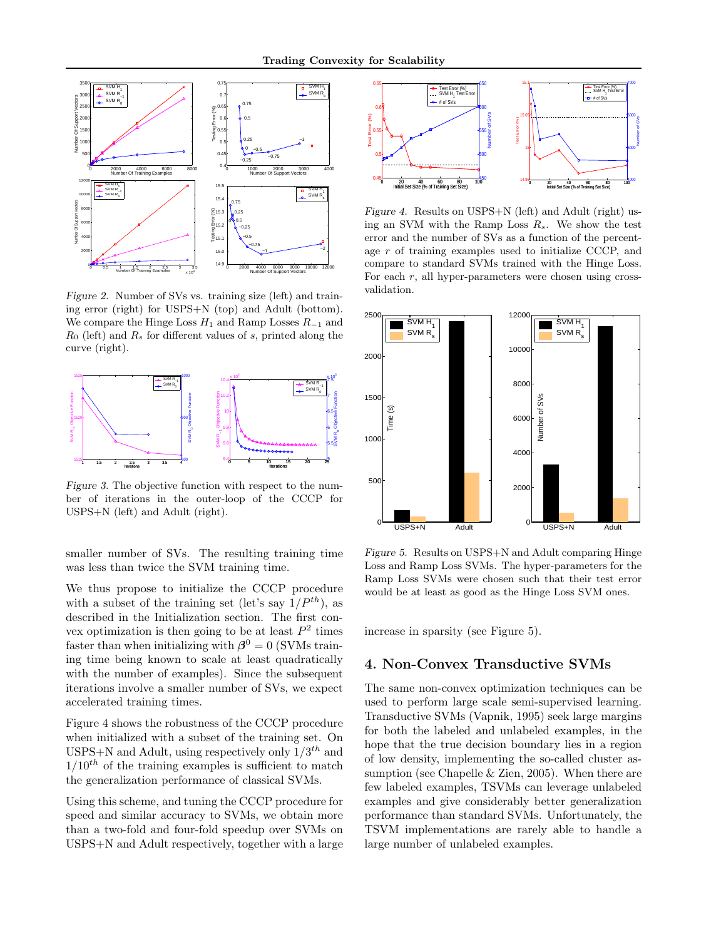

Figure 2. Number of SVs vs. training size (left) and training error (right) for USPS+N (top) and Adult (bottom). We compare the Hinge Loss  $H_1$  and Ramp Losses  $R_{-1}$  and  $R_0$  (left) and  $R_s$  for different values of s, printed along the curve (right).



Figure 3. The objective function with respect to the number of iterations in the outer-loop of the CCCP for USPS+N (left) and Adult (right).

smaller number of SVs. The resulting training time was less than twice the SVM training time.

We thus propose to initialize the CCCP procedure with a subset of the training set (let's say  $1/P^{th}$ ), as described in the Initialization section. The first convex optimization is then going to be at least  $P^2$  times faster than when initializing with  $\beta^0 = 0$  (SVMs training time being known to scale at least quadratically with the number of examples). Since the subsequent iterations involve a smaller number of SVs, we expect accelerated training times.

Figure 4 shows the robustness of the CCCP procedure when initialized with a subset of the training set. On USPS+N and Adult, using respectively only  $1/3^{th}$  and  $1/10^{th}$  of the training examples is sufficient to match the generalization performance of classical SVMs.

Using this scheme, and tuning the CCCP procedure for speed and similar accuracy to SVMs, we obtain more than a two-fold and four-fold speedup over SVMs on USPS+N and Adult respectively, together with a large



Figure 4. Results on USPS+N (left) and Adult (right) using an SVM with the Ramp Loss  $R_s$ . We show the test error and the number of SVs as a function of the percentage r of training examples used to initialize CCCP, and compare to standard SVMs trained with the Hinge Loss. For each  $r$ , all hyper-parameters were chosen using crossvalidation.



Figure 5. Results on USPS+N and Adult comparing Hinge Loss and Ramp Loss SVMs. The hyper-parameters for the Ramp Loss SVMs were chosen such that their test error would be at least as good as the Hinge Loss SVM ones.

increase in sparsity (see Figure 5).

# 4. Non-Convex Transductive SVMs

The same non-convex optimization techniques can be used to perform large scale semi-supervised learning. Transductive SVMs (Vapnik, 1995) seek large margins for both the labeled and unlabeled examples, in the hope that the true decision boundary lies in a region of low density, implementing the so-called cluster assumption (see Chapelle & Zien, 2005). When there are few labeled examples, TSVMs can leverage unlabeled examples and give considerably better generalization performance than standard SVMs. Unfortunately, the TSVM implementations are rarely able to handle a large number of unlabeled examples.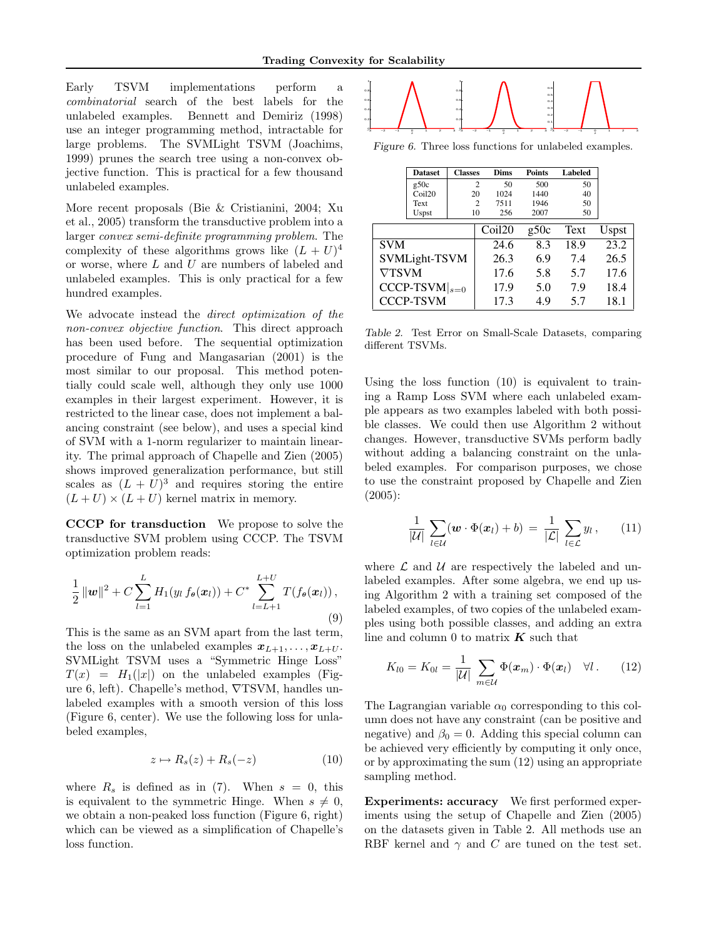Early TSVM implementations perform a combinatorial search of the best labels for the unlabeled examples. Bennett and Demiriz (1998) use an integer programming method, intractable for large problems. The SVMLight TSVM (Joachims, 1999) prunes the search tree using a non-convex objective function. This is practical for a few thousand unlabeled examples.

More recent proposals (Bie & Cristianini, 2004; Xu et al., 2005) transform the transductive problem into a larger convex semi-definite programming problem. The complexity of these algorithms grows like  $(L+U)^4$ or worse, where L and U are numbers of labeled and unlabeled examples. This is only practical for a few hundred examples.

We advocate instead the direct optimization of the non-convex objective function. This direct approach has been used before. The sequential optimization procedure of Fung and Mangasarian (2001) is the most similar to our proposal. This method potentially could scale well, although they only use 1000 examples in their largest experiment. However, it is restricted to the linear case, does not implement a balancing constraint (see below), and uses a special kind of SVM with a 1-norm regularizer to maintain linearity. The primal approach of Chapelle and Zien (2005) shows improved generalization performance, but still scales as  $(L + U)^3$  and requires storing the entire  $(L+U) \times (L+U)$  kernel matrix in memory.

CCCP for transduction We propose to solve the transductive SVM problem using CCCP. The TSVM optimization problem reads:

$$
\frac{1}{2} ||\mathbf{w}||^2 + C \sum_{l=1}^{L} H_1(y_l f_{\theta}(\mathbf{x}_l)) + C^* \sum_{l=L+1}^{L+U} T(f_{\theta}(\mathbf{x}_l)),
$$
\n(9)

This is the same as an SVM apart from the last term, the loss on the unlabeled examples  $x_{L+1}, \ldots, x_{L+U}$ . SVMLight TSVM uses a "Symmetric Hinge Loss"  $T(x) = H_1(|x|)$  on the unlabeled examples (Figure 6, left). Chapelle's method, ∇TSVM, handles unlabeled examples with a smooth version of this loss (Figure 6, center). We use the following loss for unlabeled examples,

$$
z \mapsto R_s(z) + R_s(-z) \tag{10}
$$

where  $R_s$  is defined as in (7). When  $s = 0$ , this is equivalent to the symmetric Hinge. When  $s \neq 0$ , we obtain a non-peaked loss function (Figure 6, right) which can be viewed as a simplification of Chapelle's loss function.



Figure 6. Three loss functions for unlabeled examples.

|                    | <b>Dataset</b>    | <b>Classes</b> |      | Dims               | <b>Points</b> |      | Labeled |       |
|--------------------|-------------------|----------------|------|--------------------|---------------|------|---------|-------|
|                    | g50c              | $\overline{2}$ |      | 50                 | 500           | 50   |         |       |
|                    | Co <sub>120</sub> | 20             |      | 1024               | 1440          |      | 40      |       |
|                    | Text              | $\overline{c}$ |      | 7511               | 1946          |      | 50      |       |
|                    | <b>Uspst</b>      | 10             |      | 256                | 2007          |      | 50      |       |
|                    |                   |                |      | Coil <sub>20</sub> | g50c          |      | Text    | Uspst |
| <b>SVM</b>         |                   |                | 24.6 | 8.3                |               | 18.9 | 23.2    |       |
| SVMLight-TSVM      |                   |                | 26.3 | 6.9                |               | 7.4  | 26.5    |       |
| $\nabla$ TSVM      |                   |                | 17.6 | 5.8                |               | 5.7  | 17.6    |       |
| $CCCP-TSVM _{s=0}$ |                   |                | 17.9 | 5.0                |               | 7.9  | 18.4    |       |
| <b>CCCP-TSVM</b>   |                   |                | 17.3 | 4.9                |               | 5.7  | 18.1    |       |

Table 2. Test Error on Small-Scale Datasets, comparing different TSVMs.

Using the loss function (10) is equivalent to training a Ramp Loss SVM where each unlabeled example appears as two examples labeled with both possible classes. We could then use Algorithm 2 without changes. However, transductive SVMs perform badly without adding a balancing constraint on the unlabeled examples. For comparison purposes, we chose to use the constraint proposed by Chapelle and Zien (2005):

$$
\frac{1}{|\mathcal{U}|}\sum_{l\in\mathcal{U}}(\boldsymbol{w}\cdot\Phi(\boldsymbol{x}_l)+b)=\frac{1}{|\mathcal{L}|}\sum_{l\in\mathcal{L}}y_l\,,\qquad(11)
$$

where  $\mathcal L$  and  $\mathcal U$  are respectively the labeled and unlabeled examples. After some algebra, we end up using Algorithm 2 with a training set composed of the labeled examples, of two copies of the unlabeled examples using both possible classes, and adding an extra line and column 0 to matrix  $\boldsymbol{K}$  such that

$$
K_{l0} = K_{0l} = \frac{1}{|\mathcal{U}|} \sum_{m \in \mathcal{U}} \Phi(\boldsymbol{x}_m) \cdot \Phi(\boldsymbol{x}_l) \quad \forall l. \qquad (12)
$$

The Lagrangian variable  $\alpha_0$  corresponding to this column does not have any constraint (can be positive and negative) and  $\beta_0 = 0$ . Adding this special column can be achieved very efficiently by computing it only once, or by approximating the sum (12) using an appropriate sampling method.

Experiments: accuracy We first performed experiments using the setup of Chapelle and Zien (2005) on the datasets given in Table 2. All methods use an RBF kernel and  $\gamma$  and C are tuned on the test set.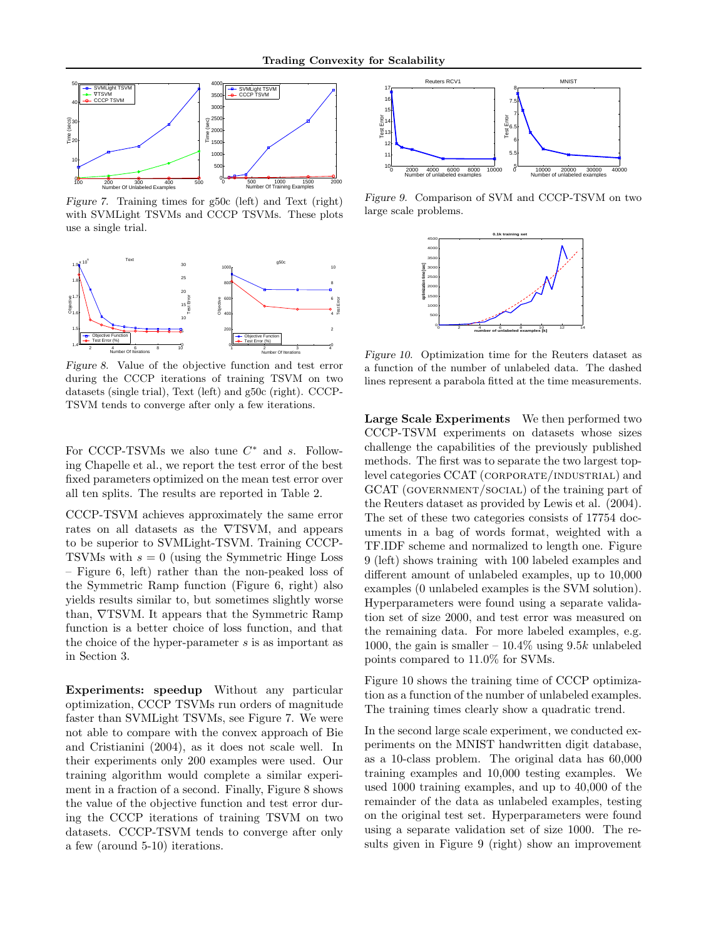

Figure 7. Training times for g50c (left) and Text (right) with SVMLight TSVMs and CCCP TSVMs. These plots use a single trial.



Figure 8. Value of the objective function and test error during the CCCP iterations of training TSVM on two datasets (single trial), Text (left) and g50c (right). CCCP-TSVM tends to converge after only a few iterations.

For CCCP-TSVMs we also tune  $C^*$  and s. Following Chapelle et al., we report the test error of the best fixed parameters optimized on the mean test error over all ten splits. The results are reported in Table 2.

CCCP-TSVM achieves approximately the same error rates on all datasets as the ∇TSVM, and appears to be superior to SVMLight-TSVM. Training CCCP-TSVMs with  $s = 0$  (using the Symmetric Hinge Loss – Figure 6, left) rather than the non-peaked loss of the Symmetric Ramp function (Figure 6, right) also yields results similar to, but sometimes slightly worse than, ∇TSVM. It appears that the Symmetric Ramp function is a better choice of loss function, and that the choice of the hyper-parameter s is as important as in Section 3.

Experiments: speedup Without any particular optimization, CCCP TSVMs run orders of magnitude faster than SVMLight TSVMs, see Figure 7. We were not able to compare with the convex approach of Bie and Cristianini (2004), as it does not scale well. In their experiments only 200 examples were used. Our training algorithm would complete a similar experiment in a fraction of a second. Finally, Figure 8 shows the value of the objective function and test error during the CCCP iterations of training TSVM on two datasets. CCCP-TSVM tends to converge after only a few (around 5-10) iterations.



Figure 9. Comparison of SVM and CCCP-TSVM on two large scale problems.



Figure 10. Optimization time for the Reuters dataset as a function of the number of unlabeled data. The dashed lines represent a parabola fitted at the time measurements.

Large Scale Experiments We then performed two CCCP-TSVM experiments on datasets whose sizes challenge the capabilities of the previously published methods. The first was to separate the two largest toplevel categories CCAT (CORPORATE/INDUSTRIAL) and GCAT (GOVERNMENT/SOCIAL) of the training part of the Reuters dataset as provided by Lewis et al. (2004). The set of these two categories consists of 17754 documents in a bag of words format, weighted with a TF.IDF scheme and normalized to length one. Figure 9 (left) shows training with 100 labeled examples and different amount of unlabeled examples, up to 10,000 examples (0 unlabeled examples is the SVM solution). Hyperparameters were found using a separate validation set of size 2000, and test error was measured on the remaining data. For more labeled examples, e.g. 1000, the gain is smaller  $-10.4\%$  using 9.5k unlabeled points compared to 11.0% for SVMs.

Figure 10 shows the training time of CCCP optimization as a function of the number of unlabeled examples. The training times clearly show a quadratic trend.

In the second large scale experiment, we conducted experiments on the MNIST handwritten digit database, as a 10-class problem. The original data has 60,000 training examples and 10,000 testing examples. We used 1000 training examples, and up to 40,000 of the remainder of the data as unlabeled examples, testing on the original test set. Hyperparameters were found using a separate validation set of size 1000. The results given in Figure 9 (right) show an improvement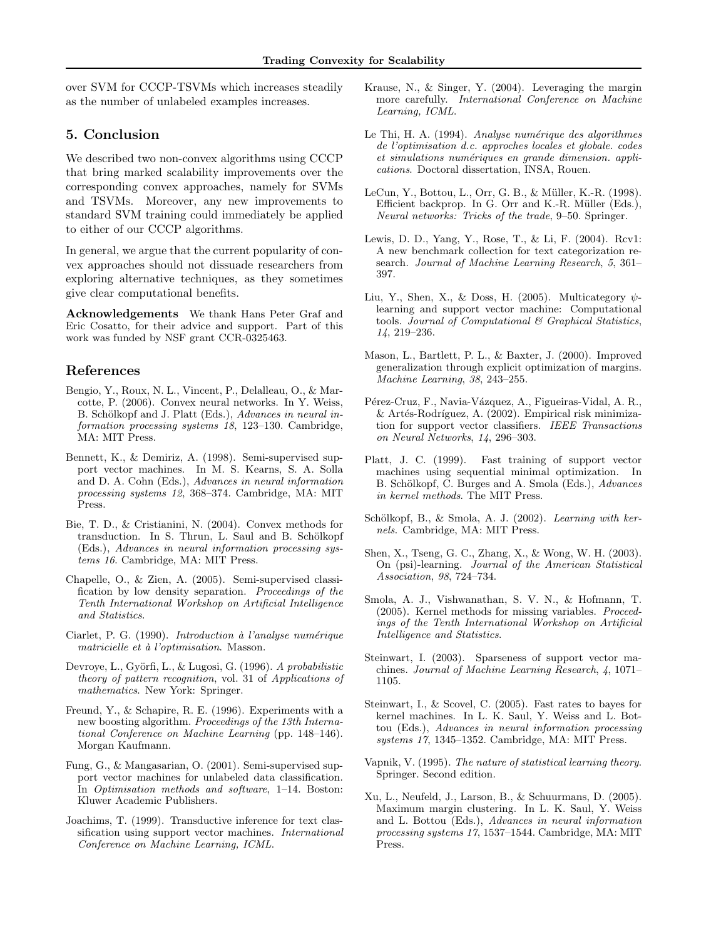over SVM for CCCP-TSVMs which increases steadily as the number of unlabeled examples increases.

### 5. Conclusion

We described two non-convex algorithms using CCCP that bring marked scalability improvements over the corresponding convex approaches, namely for SVMs and TSVMs. Moreover, any new improvements to standard SVM training could immediately be applied to either of our CCCP algorithms.

In general, we argue that the current popularity of convex approaches should not dissuade researchers from exploring alternative techniques, as they sometimes give clear computational benefits.

Acknowledgements We thank Hans Peter Graf and Eric Cosatto, for their advice and support. Part of this work was funded by NSF grant CCR-0325463.

### References

- Bengio, Y., Roux, N. L., Vincent, P., Delalleau, O., & Marcotte, P. (2006). Convex neural networks. In Y. Weiss, B. Schölkopf and J. Platt (Eds.), Advances in neural information processing systems 18, 123–130. Cambridge, MA: MIT Press.
- Bennett, K., & Demiriz, A. (1998). Semi-supervised support vector machines. In M. S. Kearns, S. A. Solla and D. A. Cohn (Eds.), Advances in neural information processing systems 12, 368–374. Cambridge, MA: MIT Press.
- Bie, T. D., & Cristianini, N. (2004). Convex methods for transduction. In S. Thrun, L. Saul and B. Schölkopf (Eds.), Advances in neural information processing systems 16. Cambridge, MA: MIT Press.
- Chapelle, O., & Zien, A. (2005). Semi-supervised classification by low density separation. Proceedings of the Tenth International Workshop on Artificial Intelligence and Statistics.
- Ciarlet, P. G. (1990). Introduction à l'analyse numérique matricielle et à l'optimisation. Masson.
- Devroye, L., Györfi, L., & Lugosi, G. (1996). A probabilistic theory of pattern recognition, vol. 31 of Applications of mathematics. New York: Springer.
- Freund, Y., & Schapire, R. E. (1996). Experiments with a new boosting algorithm. Proceedings of the 13th International Conference on Machine Learning (pp. 148–146). Morgan Kaufmann.
- Fung, G., & Mangasarian, O. (2001). Semi-supervised support vector machines for unlabeled data classification. In Optimisation methods and software, 1–14. Boston: Kluwer Academic Publishers.
- Joachims, T. (1999). Transductive inference for text classification using support vector machines. International Conference on Machine Learning, ICML.
- Krause, N., & Singer, Y. (2004). Leveraging the margin more carefully. International Conference on Machine Learning, ICML.
- Le Thi, H. A. (1994). Analyse numérique des algorithmes de l'optimisation d.c. approches locales et globale. codes et simulations numériques en grande dimension. applications. Doctoral dissertation, INSA, Rouen.
- LeCun, Y., Bottou, L., Orr, G. B., & Müller, K.-R. (1998). Efficient backprop. In G. Orr and K.-R. Müller (Eds.), Neural networks: Tricks of the trade, 9–50. Springer.
- Lewis, D. D., Yang, Y., Rose, T., & Li, F. (2004). Rcv1: A new benchmark collection for text categorization research. Journal of Machine Learning Research, 5, 361– 397.
- Liu, Y., Shen, X., & Doss, H. (2005). Multicategory  $\psi$ learning and support vector machine: Computational tools. Journal of Computational  $\mathcal B$  Graphical Statistics, 14, 219–236.
- Mason, L., Bartlett, P. L., & Baxter, J. (2000). Improved generalization through explicit optimization of margins. Machine Learning, 38, 243–255.
- Pérez-Cruz, F., Navia-Vázquez, A., Figueiras-Vidal, A. R.,  $&$  Artés-Rodríguez, A. (2002). Empirical risk minimization for support vector classifiers. IEEE Transactions on Neural Networks, 14, 296–303.
- Platt, J. C. (1999). Fast training of support vector machines using sequential minimal optimization. In B. Schölkopf, C. Burges and A. Smola (Eds.), *Advances* in kernel methods. The MIT Press.
- Schölkopf, B., & Smola, A. J.  $(2002)$ . Learning with kernels. Cambridge, MA: MIT Press.
- Shen, X., Tseng, G. C., Zhang, X., & Wong, W. H. (2003). On (psi)-learning. Journal of the American Statistical Association, 98, 724–734.
- Smola, A. J., Vishwanathan, S. V. N., & Hofmann, T. (2005). Kernel methods for missing variables. Proceedings of the Tenth International Workshop on Artificial Intelligence and Statistics.
- Steinwart, I. (2003). Sparseness of support vector machines. Journal of Machine Learning Research, 4, 1071– 1105.
- Steinwart, I., & Scovel, C. (2005). Fast rates to bayes for kernel machines. In L. K. Saul, Y. Weiss and L. Bottou (Eds.), Advances in neural information processing systems 17, 1345–1352. Cambridge, MA: MIT Press.
- Vapnik, V. (1995). The nature of statistical learning theory. Springer. Second edition.
- Xu, L., Neufeld, J., Larson, B., & Schuurmans, D. (2005). Maximum margin clustering. In L. K. Saul, Y. Weiss and L. Bottou (Eds.), Advances in neural information processing systems 17, 1537–1544. Cambridge, MA: MIT Press.